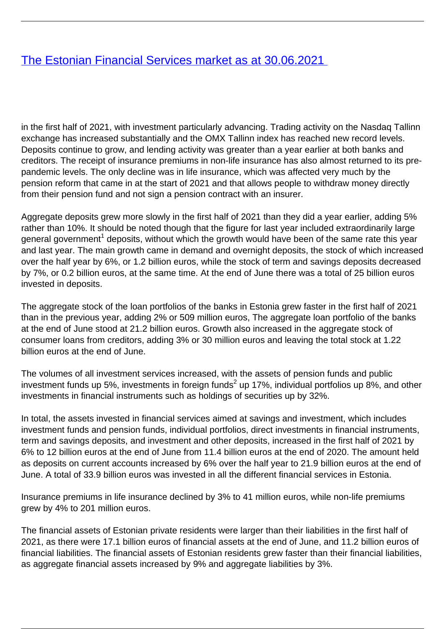## [The Estonian Financial Services market as at 30.06.2021](/en/publications/estonian-financial-services-market-30062021)

in the first half of 2021, with investment particularly advancing. Trading activity on the Nasdaq Tallinn exchange has increased substantially and the OMX Tallinn index has reached new record levels. Deposits continue to grow, and lending activity was greater than a year earlier at both banks and creditors. The receipt of insurance premiums in non-life insurance has also almost returned to its prepandemic levels. The only decline was in life insurance, which was affected very much by the pension reform that came in at the start of 2021 and that allows people to withdraw money directly from their pension fund and not sign a pension contract with an insurer.

Aggregate deposits grew more slowly in the first half of 2021 than they did a year earlier, adding 5% rather than 10%. It should be noted though that the figure for last year included extraordinarily large general government $^{\rm 1}$  deposits, without which the growth would have been of the same rate this year and last year. The main growth came in demand and overnight deposits, the stock of which increased over the half year by 6%, or 1.2 billion euros, while the stock of term and savings deposits decreased by 7%, or 0.2 billion euros, at the same time. At the end of June there was a total of 25 billion euros invested in deposits.

The aggregate stock of the loan portfolios of the banks in Estonia grew faster in the first half of 2021 than in the previous year, adding 2% or 509 million euros, The aggregate loan portfolio of the banks at the end of June stood at 21.2 billion euros. Growth also increased in the aggregate stock of consumer loans from creditors, adding 3% or 30 million euros and leaving the total stock at 1.22 billion euros at the end of June.

The volumes of all investment services increased, with the assets of pension funds and public investment funds up 5%, investments in foreign funds<sup>2</sup> up 17%, individual portfolios up 8%, and other investments in financial instruments such as holdings of securities up by 32%.

In total, the assets invested in financial services aimed at savings and investment, which includes investment funds and pension funds, individual portfolios, direct investments in financial instruments, term and savings deposits, and investment and other deposits, increased in the first half of 2021 by 6% to 12 billion euros at the end of June from 11.4 billion euros at the end of 2020. The amount held as deposits on current accounts increased by 6% over the half year to 21.9 billion euros at the end of June. A total of 33.9 billion euros was invested in all the different financial services in Estonia.

Insurance premiums in life insurance declined by 3% to 41 million euros, while non-life premiums grew by 4% to 201 million euros.

The financial assets of Estonian private residents were larger than their liabilities in the first half of 2021, as there were 17.1 billion euros of financial assets at the end of June, and 11.2 billion euros of financial liabilities. The financial assets of Estonian residents grew faster than their financial liabilities, as aggregate financial assets increased by 9% and aggregate liabilities by 3%.